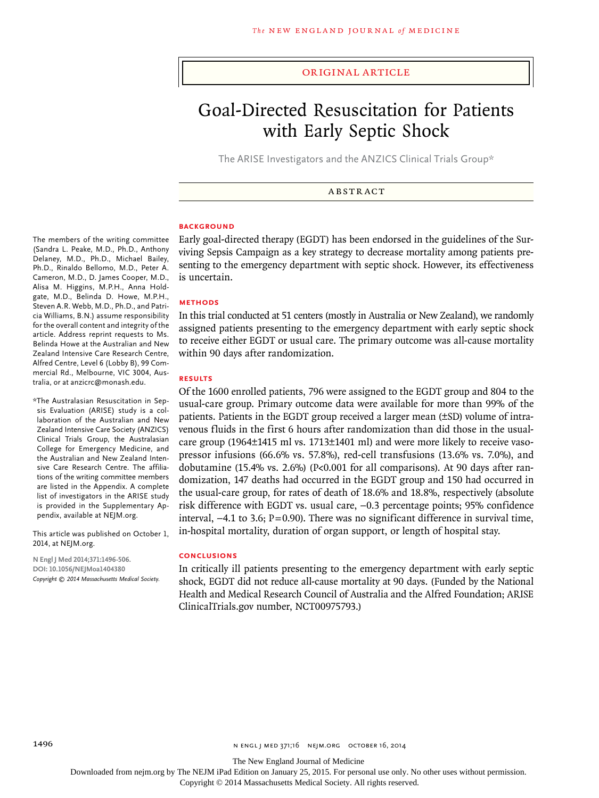#### original article

# Goal-Directed Resuscitation for Patients with Early Septic Shock

The ARISE Investigators and the ANZICS Clinical Trials Group\*

**ABSTRACT** 

#### **BACKGROUND**

Early goal-directed therapy (EGDT) has been endorsed in the guidelines of the Surviving Sepsis Campaign as a key strategy to decrease mortality among patients presenting to the emergency department with septic shock. However, its effectiveness is uncertain.

#### **Methods**

In this trial conducted at 51 centers (mostly in Australia or New Zealand), we randomly assigned patients presenting to the emergency department with early septic shock to receive either EGDT or usual care. The primary outcome was all-cause mortality within 90 days after randomization.

#### **Results**

Of the 1600 enrolled patients, 796 were assigned to the EGDT group and 804 to the usual-care group. Primary outcome data were available for more than 99% of the patients. Patients in the EGDT group received a larger mean (±SD) volume of intravenous fluids in the first 6 hours after randomization than did those in the usualcare group (1964±1415 ml vs. 1713±1401 ml) and were more likely to receive vasopressor infusions (66.6% vs. 57.8%), red-cell transfusions (13.6% vs. 7.0%), and dobutamine (15.4% vs. 2.6%) ( $P<sub>0.001</sub>$  for all comparisons). At 90 days after randomization, 147 deaths had occurred in the EGDT group and 150 had occurred in the usual-care group, for rates of death of 18.6% and 18.8%, respectively (absolute risk difference with EGDT vs. usual care, −0.3 percentage points; 95% confidence interval, −4.1 to 3.6; P=0.90). There was no significant difference in survival time, in-hospital mortality, duration of organ support, or length of hospital stay.

#### **Conclusions**

In critically ill patients presenting to the emergency department with early septic shock, EGDT did not reduce all-cause mortality at 90 days. (Funded by the National Health and Medical Research Council of Australia and the Alfred Foundation; ARISE ClinicalTrials.gov number, NCT00975793.)

The members of the writing committee (Sandra L. Peake, M.D., Ph.D., Anthony Delaney, M.D., Ph.D., Michael Bailey, Ph.D., Rinaldo Bellomo, M.D., Peter A. Cameron, M.D., D. James Cooper, M.D., Alisa M. Higgins, M.P.H., Anna Holdgate, M.D., Belinda D. Howe, M.P.H., Steven A.R. Webb, M.D., Ph.D., and Patricia Williams, B.N.) assume responsibility for the overall content and integrity of the article. Address reprint requests to Ms. Belinda Howe at the Australian and New Zealand Intensive Care Research Centre, Alfred Centre, Level 6 (Lobby B), 99 Commercial Rd., Melbourne, VIC 3004, Australia, or at anzicrc@monash.edu.

\*The Australasian Resuscitation in Sepsis Evaluation (ARISE) study is a collaboration of the Australian and New Zealand Intensive Care Society (ANZICS) Clinical Trials Group, the Australasian College for Emergency Medicine, and the Australian and New Zealand Intensive Care Research Centre. The affiliations of the writing committee members are listed in the Appendix. A complete list of investigators in the ARISE study is provided in the Supplementary Appendix, available at NEJM.org.

This article was published on October 1, 2014, at NEJM.org.

**N Engl J Med 2014;371:1496-506. DOI: 10.1056/NEJMoa1404380** *Copyright © 2014 Massachusetts Medical Society.*

The New England Journal of Medicine

Downloaded from nejm.org by The NEJM iPad Edition on January 25, 2015. For personal use only. No other uses without permission.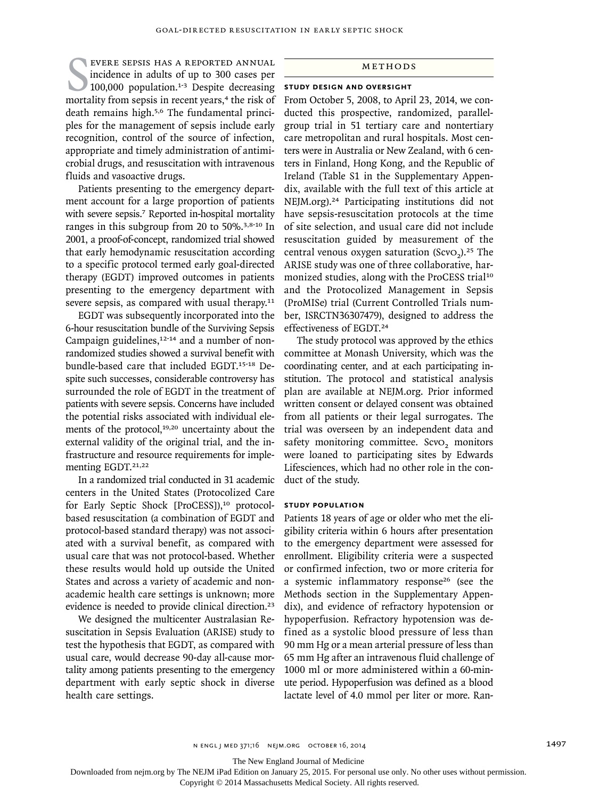EVERE SEPSIS HAS A REPORTED ANNUAL<br>incidence in adults of up to 300 cases per<br>100,000 population.<sup>1-3</sup> Despite decreasing<br>mortality from sepsis in recent years,<sup>4</sup> the risk of evere sepsis has a reported annual incidence in adults of up to 300 cases per  $100,000$  population.<sup>1-3</sup> Despite decreasing death remains high.5,6 The fundamental principles for the management of sepsis include early recognition, control of the source of infection, appropriate and timely administration of antimicrobial drugs, and resuscitation with intravenous fluids and vasoactive drugs.

Patients presenting to the emergency department account for a large proportion of patients with severe sepsis.<sup>7</sup> Reported in-hospital mortality ranges in this subgroup from 20 to 50%.3,8-10 In 2001, a proof-of-concept, randomized trial showed that early hemodynamic resuscitation according to a specific protocol termed early goal-directed therapy (EGDT) improved outcomes in patients presenting to the emergency department with severe sepsis, as compared with usual therapy.<sup>11</sup>

EGDT was subsequently incorporated into the 6-hour resuscitation bundle of the Surviving Sepsis Campaign guidelines,<sup>12-14</sup> and a number of nonrandomized studies showed a survival benefit with bundle-based care that included EGDT.15-18 Despite such successes, considerable controversy has surrounded the role of EGDT in the treatment of patients with severe sepsis. Concerns have included the potential risks associated with individual elements of the protocol,<sup>19,20</sup> uncertainty about the external validity of the original trial, and the infrastructure and resource requirements for implementing EGDT.<sup>21,22</sup>

In a randomized trial conducted in 31 academic centers in the United States (Protocolized Care for Early Septic Shock [ProCESS]),<sup>10</sup> protocolbased resuscitation (a combination of EGDT and protocol-based standard therapy) was not associated with a survival benefit, as compared with usual care that was not protocol-based. Whether these results would hold up outside the United States and across a variety of academic and nonacademic health care settings is unknown; more evidence is needed to provide clinical direction.<sup>23</sup>

We designed the multicenter Australasian Resuscitation in Sepsis Evaluation (ARISE) study to test the hypothesis that EGDT, as compared with usual care, would decrease 90-day all-cause mortality among patients presenting to the emergency department with early septic shock in diverse health care settings.

## Methods

## **Study Design and Oversight**

From October 5, 2008, to April 23, 2014, we conducted this prospective, randomized, parallelgroup trial in 51 tertiary care and nontertiary care metropolitan and rural hospitals. Most centers were in Australia or New Zealand, with 6 centers in Finland, Hong Kong, and the Republic of Ireland (Table S1 in the Supplementary Appendix, available with the full text of this article at NEJM.org).24 Participating institutions did not have sepsis-resuscitation protocols at the time of site selection, and usual care did not include resuscitation guided by measurement of the central venous oxygen saturation  $(Scvo<sub>2</sub>)$ <sup>25</sup> The ARISE study was one of three collaborative, harmonized studies, along with the ProCESS trial<sup>10</sup> and the Protocolized Management in Sepsis (ProMISe) trial (Current Controlled Trials number, ISRCTN36307479), designed to address the effectiveness of EGDT.<sup>24</sup>

The study protocol was approved by the ethics committee at Monash University, which was the coordinating center, and at each participating institution. The protocol and statistical analysis plan are available at NEJM.org. Prior informed written consent or delayed consent was obtained from all patients or their legal surrogates. The trial was overseen by an independent data and safety monitoring committee. ScvO<sub>2</sub> monitors were loaned to participating sites by Edwards Lifesciences, which had no other role in the conduct of the study.

#### **Study Population**

Patients 18 years of age or older who met the eligibility criteria within 6 hours after presentation to the emergency department were assessed for enrollment. Eligibility criteria were a suspected or confirmed infection, two or more criteria for a systemic inflammatory response<sup>26</sup> (see the Methods section in the Supplementary Appendix), and evidence of refractory hypotension or hypoperfusion. Refractory hypotension was defined as a systolic blood pressure of less than 90 mm Hg or a mean arterial pressure of less than 65 mm Hg after an intravenous fluid challenge of 1000 ml or more administered within a 60-minute period. Hypoperfusion was defined as a blood lactate level of 4.0 mmol per liter or more. Ran-

n engl j med 371;16 nejm.org october 16, 2014 1497

The New England Journal of Medicine

Downloaded from nejm.org by The NEJM iPad Edition on January 25, 2015. For personal use only. No other uses without permission.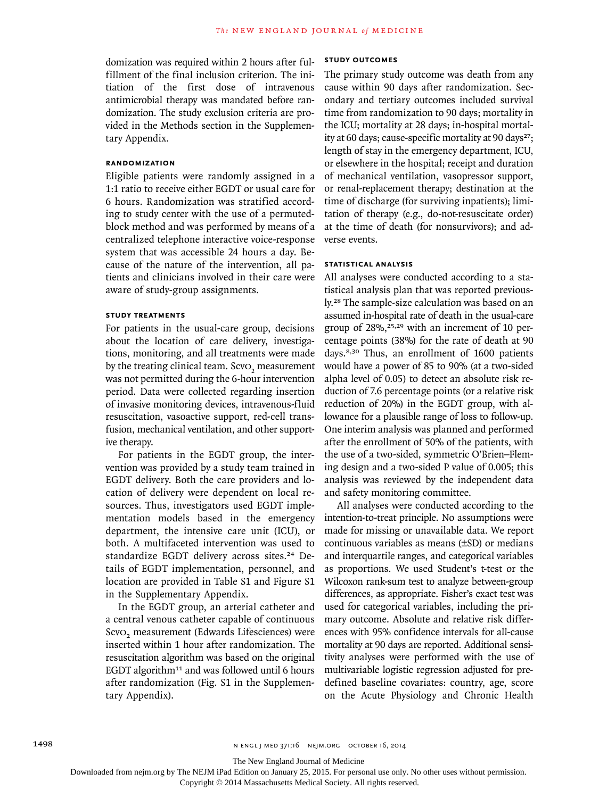domization was required within 2 hours after fulfillment of the final inclusion criterion. The initiation of the first dose of intravenous antimicrobial therapy was mandated before randomization. The study exclusion criteria are provided in the Methods section in the Supplementary Appendix.

## **Randomization**

Eligible patients were randomly assigned in a 1:1 ratio to receive either EGDT or usual care for 6 hours. Randomization was stratified according to study center with the use of a permutedblock method and was performed by means of a centralized telephone interactive voice-response system that was accessible 24 hours a day. Because of the nature of the intervention, all patients and clinicians involved in their care were aware of study-group assignments.

## **Study Treatments**

For patients in the usual-care group, decisions about the location of care delivery, investigations, monitoring, and all treatments were made by the treating clinical team. Scv $o_2$  measurement was not permitted during the 6-hour intervention period. Data were collected regarding insertion of invasive monitoring devices, intravenous-fluid resuscitation, vasoactive support, red-cell transfusion, mechanical ventilation, and other supportive therapy.

For patients in the EGDT group, the intervention was provided by a study team trained in EGDT delivery. Both the care providers and location of delivery were dependent on local resources. Thus, investigators used EGDT implementation models based in the emergency department, the intensive care unit (ICU), or both. A multifaceted intervention was used to standardize EGDT delivery across sites.<sup>24</sup> Details of EGDT implementation, personnel, and location are provided in Table S1 and Figure S1 in the Supplementary Appendix.

In the EGDT group, an arterial catheter and a central venous catheter capable of continuous ScvO<sub>2</sub> measurement (Edwards Lifesciences) were inserted within 1 hour after randomization. The resuscitation algorithm was based on the original EGDT algorithm<sup>11</sup> and was followed until 6 hours after randomization (Fig. S1 in the Supplementary Appendix).

## **Study Outcomes**

The primary study outcome was death from any cause within 90 days after randomization. Secondary and tertiary outcomes included survival time from randomization to 90 days; mortality in the ICU; mortality at 28 days; in-hospital mortality at 60 days; cause-specific mortality at 90 days<sup>27</sup>; length of stay in the emergency department, ICU, or elsewhere in the hospital; receipt and duration of mechanical ventilation, vasopressor support, or renal-replacement therapy; destination at the time of discharge (for surviving inpatients); limitation of therapy (e.g., do-not-resuscitate order) at the time of death (for nonsurvivors); and adverse events.

#### **Statistical Analysis**

All analyses were conducted according to a statistical analysis plan that was reported previously.28 The sample-size calculation was based on an assumed in-hospital rate of death in the usual-care group of  $28\%$ ,  $25,29$  with an increment of 10 percentage points (38%) for the rate of death at 90 days.8,30 Thus, an enrollment of 1600 patients would have a power of 85 to 90% (at a two-sided alpha level of 0.05) to detect an absolute risk reduction of 7.6 percentage points (or a relative risk reduction of 20%) in the EGDT group, with allowance for a plausible range of loss to follow-up. One interim analysis was planned and performed after the enrollment of 50% of the patients, with the use of a two-sided, symmetric O'Brien–Fleming design and a two-sided P value of 0.005; this analysis was reviewed by the independent data and safety monitoring committee.

All analyses were conducted according to the intention-to-treat principle. No assumptions were made for missing or unavailable data. We report continuous variables as means (±SD) or medians and interquartile ranges, and categorical variables as proportions. We used Student's t-test or the Wilcoxon rank-sum test to analyze between-group differences, as appropriate. Fisher's exact test was used for categorical variables, including the primary outcome. Absolute and relative risk differences with 95% confidence intervals for all-cause mortality at 90 days are reported. Additional sensitivity analyses were performed with the use of multivariable logistic regression adjusted for predefined baseline covariates: country, age, score on the Acute Physiology and Chronic Health

The New England Journal of Medicine

Downloaded from nejm.org by The NEJM iPad Edition on January 25, 2015. For personal use only. No other uses without permission.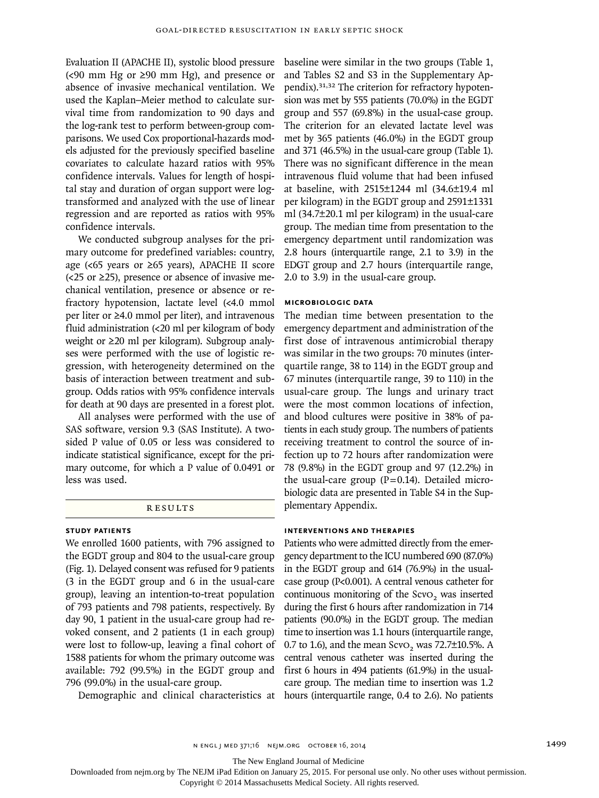Evaluation II (APACHE II), systolic blood pressure  $\left($  <90 mm Hg or  $\geq$ 90 mm Hg), and presence or absence of invasive mechanical ventilation. We used the Kaplan–Meier method to calculate survival time from randomization to 90 days and the log-rank test to perform between-group comparisons. We used Cox proportional-hazards models adjusted for the previously specified baseline covariates to calculate hazard ratios with 95% confidence intervals. Values for length of hospital stay and duration of organ support were logtransformed and analyzed with the use of linear regression and are reported as ratios with 95% confidence intervals.

We conducted subgroup analyses for the primary outcome for predefined variables: country, age (<65 years or ≥65 years), APACHE II score  $\left($  <25 or  $\geq$ 25), presence or absence of invasive mechanical ventilation, presence or absence or refractory hypotension, lactate level (<4.0 mmol per liter or ≥4.0 mmol per liter), and intravenous fluid administration (<20 ml per kilogram of body weight or ≥20 ml per kilogram). Subgroup analyses were performed with the use of logistic regression, with heterogeneity determined on the basis of interaction between treatment and subgroup. Odds ratios with 95% confidence intervals for death at 90 days are presented in a forest plot.

All analyses were performed with the use of SAS software, version 9.3 (SAS Institute). A twosided P value of 0.05 or less was considered to indicate statistical significance, except for the primary outcome, for which a P value of 0.0491 or less was used.

#### **RESULTS**

## **Study Patients**

We enrolled 1600 patients, with 796 assigned to the EGDT group and 804 to the usual-care group (Fig. 1). Delayed consent was refused for 9 patients (3 in the EGDT group and 6 in the usual-care group), leaving an intention-to-treat population of 793 patients and 798 patients, respectively. By day 90, 1 patient in the usual-care group had revoked consent, and 2 patients (1 in each group) were lost to follow-up, leaving a final cohort of 1588 patients for whom the primary outcome was available: 792 (99.5%) in the EGDT group and 796 (99.0%) in the usual-care group.

baseline were similar in the two groups (Table 1, and Tables S2 and S3 in the Supplementary Appendix).31,32 The criterion for refractory hypotension was met by 555 patients (70.0%) in the EGDT group and 557 (69.8%) in the usual-case group. The criterion for an elevated lactate level was met by 365 patients (46.0%) in the EGDT group and 371 (46.5%) in the usual-care group (Table 1). There was no significant difference in the mean intravenous fluid volume that had been infused at baseline, with 2515±1244 ml (34.6±19.4 ml per kilogram) in the EGDT group and 2591±1331 ml (34.7±20.1 ml per kilogram) in the usual-care group. The median time from presentation to the emergency department until randomization was 2.8 hours (interquartile range, 2.1 to 3.9) in the EDGT group and 2.7 hours (interquartile range, 2.0 to 3.9) in the usual-care group.

## **Microbiologic Data**

The median time between presentation to the emergency department and administration of the first dose of intravenous antimicrobial therapy was similar in the two groups: 70 minutes (interquartile range, 38 to 114) in the EGDT group and 67 minutes (interquartile range, 39 to 110) in the usual-care group. The lungs and urinary tract were the most common locations of infection, and blood cultures were positive in 38% of patients in each study group. The numbers of patients receiving treatment to control the source of infection up to 72 hours after randomization were 78 (9.8%) in the EGDT group and 97 (12.2%) in the usual-care group  $(P=0.14)$ . Detailed microbiologic data are presented in Table S4 in the Supplementary Appendix.

## **Interventions and Therapies**

Demographic and clinical characteristics at hours (interquartile range, 0.4 to 2.6). No patients Patients who were admitted directly from the emergency department to the ICU numbered 690 (87.0%) in the EGDT group and 614 (76.9%) in the usualcase group (P<0.001). A central venous catheter for continuous monitoring of the ScvO<sub>2</sub> was inserted during the first 6 hours after randomization in 714 patients (90.0%) in the EGDT group. The median time to insertion was 1.1 hours (interquartile range, 0.7 to 1.6), and the mean ScvO<sub>2</sub> was 72.7 $\pm$ 10.5%. A central venous catheter was inserted during the first 6 hours in 494 patients (61.9%) in the usualcare group. The median time to insertion was 1.2

The New England Journal of Medicine

Downloaded from nejm.org by The NEJM iPad Edition on January 25, 2015. For personal use only. No other uses without permission.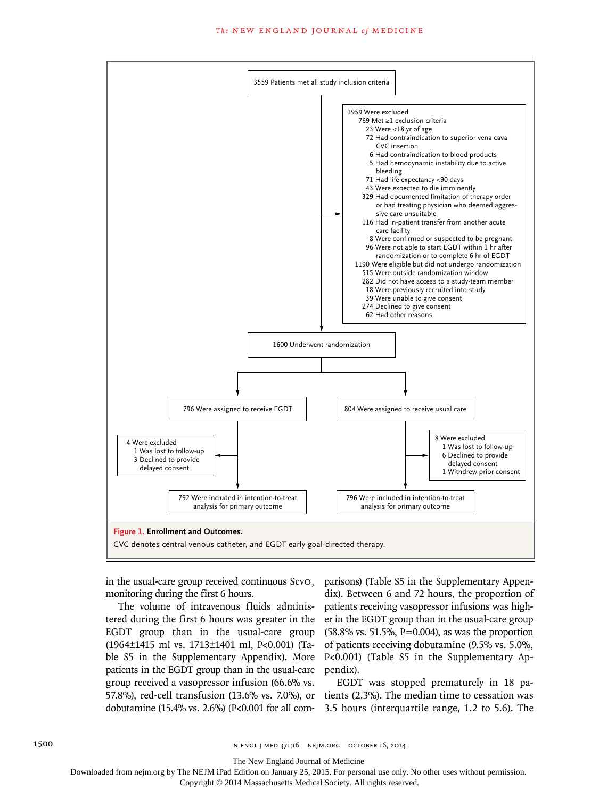

monitoring during the first 6 hours.

The volume of intravenous fluids administered during the first 6 hours was greater in the EGDT group than in the usual-care group (1964±1415 ml vs. 1713±1401 ml, P<0.001) (Table S5 in the Supplementary Appendix). More patients in the EGDT group than in the usual-care group received a vasopressor infusion (66.6% vs.

in the usual-care group received continuous ScvO<sub>2</sub> parisons) (Table S5 in the Supplementary Appendix). Between 6 and 72 hours, the proportion of patients receiving vasopressor infusions was higher in the EGDT group than in the usual-care group (58.8% vs. 51.5%, P=0.004), as was the proportion of patients receiving dobutamine (9.5% vs. 5.0%, P<0.001) (Table S5 in the Supplementary Appendix).

57.8%), red-cell transfusion (13.6% vs. 7.0%), or tients (2.3%). The median time to cessation was dobutamine (15.4% vs. 2.6%) (P<0.001 for all com-3.5 hours (interquartile range, 1.2 to 5.6). The EGDT was stopped prematurely in 18 pa-

The New England Journal of Medicine

Downloaded from nejm.org by The NEJM iPad Edition on January 25, 2015. For personal use only. No other uses without permission.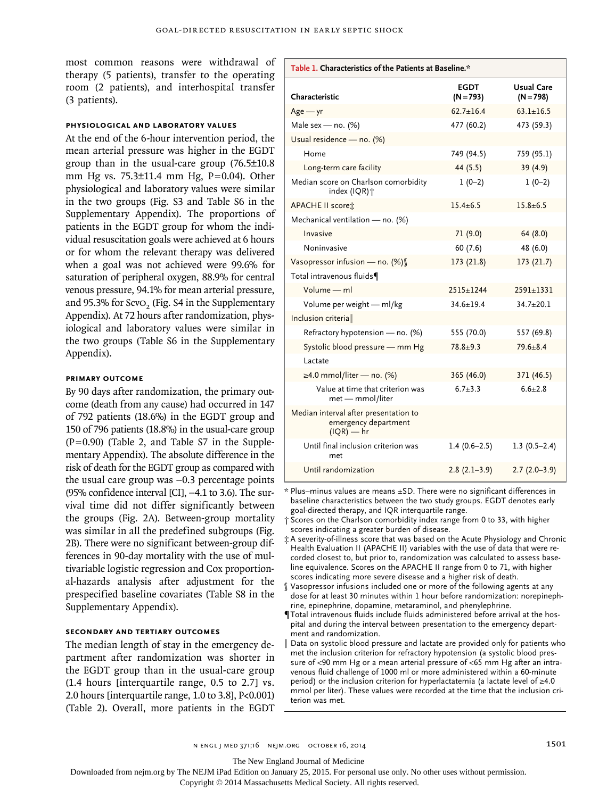most common reasons were withdrawal of  $\Box$ therapy (5 patients), transfer to the operating room (2 patients), and interhospital transfer (3 patients).

#### **Physiological and Laboratory Values**

At the end of the 6-hour intervention period, the mean arterial pressure was higher in the EGDT group than in the usual-care group (76.5±10.8 mm Hg vs. 75.3±11.4 mm Hg, P=0.04). Other physiological and laboratory values were similar in the two groups (Fig. S3 and Table S6 in the Supplementary Appendix). The proportions of patients in the EGDT group for whom the individual resuscitation goals were achieved at 6 hours or for whom the relevant therapy was delivered when a goal was not achieved were 99.6% for saturation of peripheral oxygen, 88.9% for central venous pressure, 94.1% for mean arterial pressure, and 95.3% for ScvO<sub>2</sub> (Fig.  $S4$  in the Supplementary Appendix). At 72 hours after randomization, physiological and laboratory values were similar in the two groups (Table S6 in the Supplementary Appendix).

#### **Primary Outcome**

By 90 days after randomization, the primary outcome (death from any cause) had occurred in 147 of 792 patients (18.6%) in the EGDT group and 150 of 796 patients (18.8%) in the usual-care group (P=0.90) (Table 2, and Table S7 in the Supplementary Appendix). The absolute difference in the risk of death for the EGDT group as compared with the usual care group was −0.3 percentage points (95% confidence interval [CI], −4.1 to 3.6). The survival time did not differ significantly between the groups (Fig. 2A). Between-group mortality was similar in all the predefined subgroups (Fig. 2B). There were no significant between-group differences in 90-day mortality with the use of multivariable logistic regression and Cox proportional-hazards analysis after adjustment for the prespecified baseline covariates (Table S8 in the Supplementary Appendix).

#### **Secondary and Tertiary Outcomes**

The median length of stay in the emergency department after randomization was shorter in the EGDT group than in the usual-care group (1.4 hours [interquartile range, 0.5 to 2.7] vs. 2.0 hours [interquartile range, 1.0 to 3.8], P<0.001) (Table 2). Overall, more patients in the EGDT

| Table 1. Characteristics of the Patients at Baseline.*                        |                            |                                  |
|-------------------------------------------------------------------------------|----------------------------|----------------------------------|
| Characteristic                                                                | <b>EGDT</b><br>$(N = 793)$ | <b>Usual Care</b><br>$(N = 798)$ |
| $Age - yr$                                                                    | $62.7 \pm 16.4$            | $63.1 + 16.5$                    |
| Male sex - no. (%)                                                            | 477 (60.2)                 | 473 (59.3)                       |
| Usual residence - no. (%)                                                     |                            |                                  |
| Home                                                                          | 749 (94.5)                 | 759 (95.1)                       |
| Long-term care facility                                                       | 44 (5.5)                   | 39 (4.9)                         |
| Median score on Charlson comorbidity<br>index (IQR) <sup>+</sup>              | $1(0-2)$                   | $1(0-2)$                         |
| <b>APACHE II scoret:</b>                                                      | $15.4 + 6.5$               | $15.8 + 6.5$                     |
| Mechanical ventilation - no. (%)                                              |                            |                                  |
| Invasive                                                                      | 71 (9.0)                   | 64(8.0)                          |
| Noninvasive                                                                   | 60(7.6)                    | 48 (6.0)                         |
| Vasopressor infusion - no. (%)                                                | 173 (21.8)                 | 173(21.7)                        |
| Total intravenous fluids¶                                                     |                            |                                  |
| Volume - ml                                                                   | $2515 + 1244$              | $2591 + 1331$                    |
| Volume per weight - ml/kg                                                     | $34.6 + 19.4$              | $34.7 + 20.1$                    |
| Inclusion criteria                                                            |                            |                                  |
| Refractory hypotension - no. (%)                                              | 555 (70.0)                 | 557 (69.8)                       |
| Systolic blood pressure - mm Hg                                               | $78.8 + 9.3$               | $79.6 + 8.4$                     |
| Lactate                                                                       |                            |                                  |
| $\geq$ 4.0 mmol/liter — no. (%)                                               | 365 (46.0)                 | 371 (46.5)                       |
| Value at time that criterion was<br>met - mmol/liter                          | $6.7 + 3.3$                | $6.6 + 2.8$                      |
| Median interval after presentation to<br>emergency department<br>$(IQR) - hr$ |                            |                                  |
| Until final inclusion criterion was<br>met                                    | $1.4(0.6-2.5)$             | $1.3(0.5-2.4)$                   |
| Until randomization                                                           | $2.8(2.1-3.9)$             | $2.7(2.0-3.9)$                   |

\* Plus–minus values are means ±SD. There were no significant differences in baseline characteristics between the two study groups. EGDT denotes early goal-directed therapy, and IQR interquartile range.

† Scores on the Charlson comorbidity index range from 0 to 33, with higher scores indicating a greater burden of disease.

‡ A severity-of-illness score that was based on the Acute Physiology and Chronic Health Evaluation II (APACHE II) variables with the use of data that were recorded closest to, but prior to, randomization was calculated to assess baseline equivalence. Scores on the APACHE II range from 0 to 71, with higher scores indicating more severe disease and a higher risk of death.

- Vasopressor infusions included one or more of the following agents at any dose for at least 30 minutes within 1 hour before randomization: norepinephrine, epinephrine, dopamine, metaraminol, and phenylephrine.
- ¶Total intravenous fluids include fluids administered before arrival at the hospital and during the interval between presentation to the emergency department and randomization.
- Data on systolic blood pressure and lactate are provided only for patients who met the inclusion criterion for refractory hypotension (a systolic blood pressure of <90 mm Hg or a mean arterial pressure of <65 mm Hg after an intravenous fluid challenge of 1000 ml or more administered within a 60-minute period) or the inclusion criterion for hyperlactatemia (a lactate level of ≥4.0 mmol per liter). These values were recorded at the time that the inclusion criterion was met.

n engl j med 371;16 nejm.org october 16, 2014 1501

The New England Journal of Medicine

Downloaded from nejm.org by The NEJM iPad Edition on January 25, 2015. For personal use only. No other uses without permission.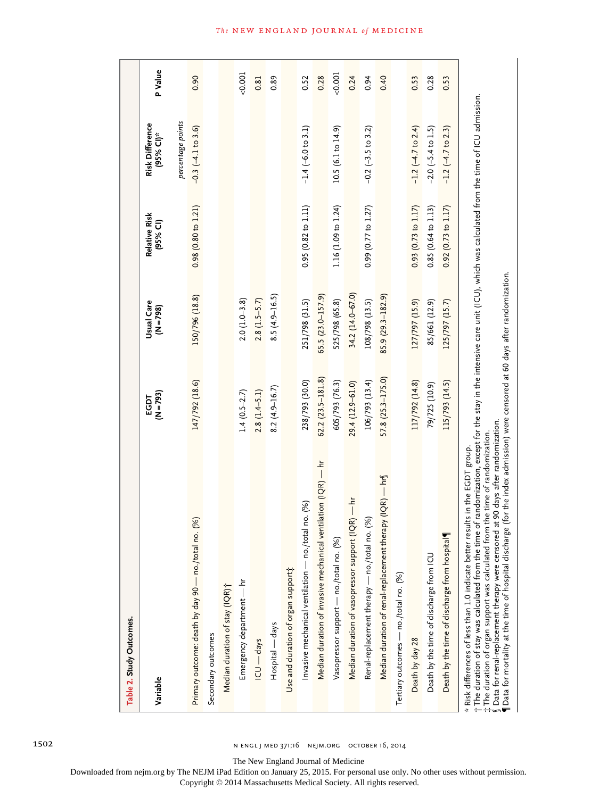| Table 2. Study Outcomes.                                      |                     |                           |                           |                                                               |         |
|---------------------------------------------------------------|---------------------|---------------------------|---------------------------|---------------------------------------------------------------|---------|
| Variable                                                      | $(N = 793)$<br>EGDT | Usual Care<br>$(N = 798)$ | Relative Risk<br>(95% CI) | percentage points<br>Risk Difference<br>(95% CI) <sup>*</sup> | P Value |
| Primary outcome: death by day 90 - no./total no. (%)          | 147/792 (18.6)      | 150/796 (18.8)            | 0.98(0.80 to 1.21)        | $-0.3(-4.1 \text{ to } 3.6)$                                  |         |
| Secondary outcomes                                            |                     |                           |                           |                                                               |         |
| Median duration of stay (IQR)†                                |                     |                           |                           |                                                               |         |
| Emergency department — hr                                     | $1.4(0.5-2.7)$      | $2.0(1.0-3.8)$            |                           |                                                               | 0.001   |
| ICU — days                                                    | $2.8(1.4 - 5.1)$    | $2.8(1.5-5.7)$            |                           |                                                               |         |
| Hospital — days                                               | $8.2(4.9 - 16.7)$   | $8.5(4.9 - 16.5)$         |                           |                                                               |         |
| Use and duration of organ support;                            |                     |                           |                           |                                                               |         |
| Invasive mechanical ventilation — no./total no. (%)           | 238/793 (30.0)      | 251/798 (31.5)            | 0.95(0.82 to 1.11)        | $-1.4$ (-6.0 to 3.1)                                          |         |
| Median duration of invasive mechanical ventilation (IQR) - hr | $62.2(23.5-181.8)$  | 65.5 (23.0-157.9)         |                           |                                                               |         |
| Vasopressor support - no./total no. (%)                       | 605/793 (76.3)      | 525/798 (65.8)            | 1.16 (1.09 to 1.24)       | 10.5 (6.1 to 14.9)                                            | 0.001   |
| Median duration of vasopressor support (IQR) — hr             | 29.4 (12.9-61.0)    | 34.2 (14.0-67.0)          |                           |                                                               |         |
| Renal-replacement therapy — no./total no. (%)                 | 106/793 (13.4)      | 108/798 (13.5)            | 0.99(0.77 to 1.27)        | $-0.2$ ( $-3.5$ to 3.2)                                       |         |
| Median duration of renal-replacement therapy (IQR) — $hr\$    | 57.8 (25.3-175.0)   | 85.9 (29.3-182.9)         |                           |                                                               |         |
| Tertiary outcomes - no./total no. (%)                         |                     |                           |                           |                                                               |         |
| Death by day 28                                               | 117/792 (14.8)      | 127/797 (15.9)            | 0.93(0.73 to 1.17)        | $-1.2$ ( $-4.7$ to 2.4)                                       |         |
| Death by the time of discharge from ICU                       | 79/725 (10.9)       | 85/661 (12.9)             | 0.85(0.64 to 1.13)        | $-2.0$ $(-5.4$ to $1.5)$                                      |         |
| Death by the time of discharge from hospital                  | 115/793 (14.5)      | 125/797 (15.7)            | 0.92(0.73 to 1.17)        | $-1.2$ ( $-4.7$ to 2.3)                                       |         |

The duration of stay was calculated from the time of randomization, except for the stay in the intensive care unit (ICU), which was calculated from the time of ICU admission.<br>The duration of organ support was calculated fr The duration of stay was calculated from the time of randomization, except for the stay in the intensive care unit (ICU), which was calculated from the time of ICU admission. The duration of organ support was calculated from the time of randomization. †

‡§Data for renal-replacement therapy were censored at 90 days after randomization.

¶Data for mortality at the time of hospital discharge (for the index admission) were censored at 60 days after randomization.

The New England Journal of Medicine

Downloaded from nejm.org by The NEJM iPad Edition on January 25, 2015. For personal use only. No other uses without permission.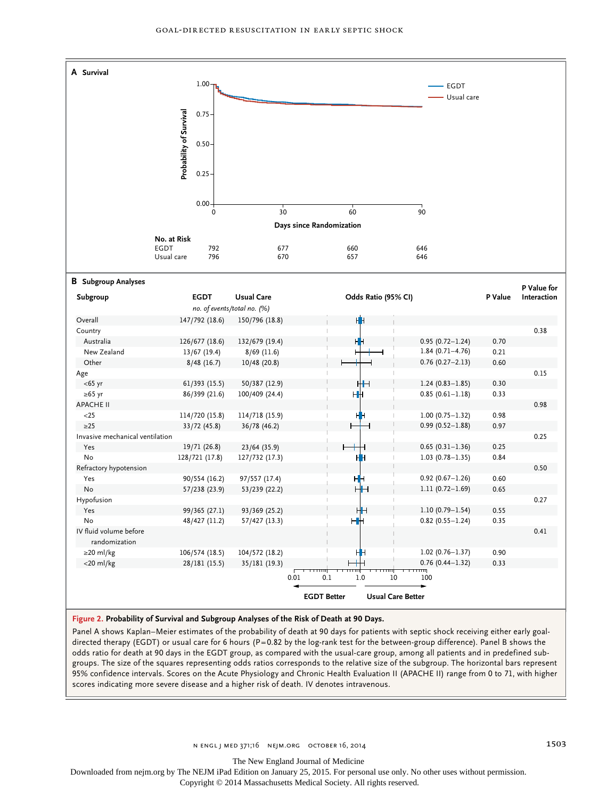

**Figure 2. Probability of Survival and Subgroup Analyses of the Risk of Death at 90 Days.**

Panel A shows Kaplan–Meier estimates of the probability of death at 90 days for patients with septic shock receiving either early goaldirected therapy (EGDT) or usual care for 6 hours (P=0.82 by the log-rank test for the between-group difference). Panel B shows the odds ratio for death at 90 days in the EGDT group, as compared with the usual-care group, among all patients and in predefined subgroups. The size of the squares representing odds ratios corresponds to the relative size of the subgroup. The horizontal bars represent 95% confidence intervals. Scores on the Acute Physiology and Chronic Health Evaluation II (APACHE II) range from 0 to 71, with higher scores indicating more severe disease and a higher risk of death. IV denotes intravenous.

The New England Journal of Medicine

Downloaded from nejm.org by The NEJM iPad Edition on January 25, 2015. For personal use only. No other uses without permission.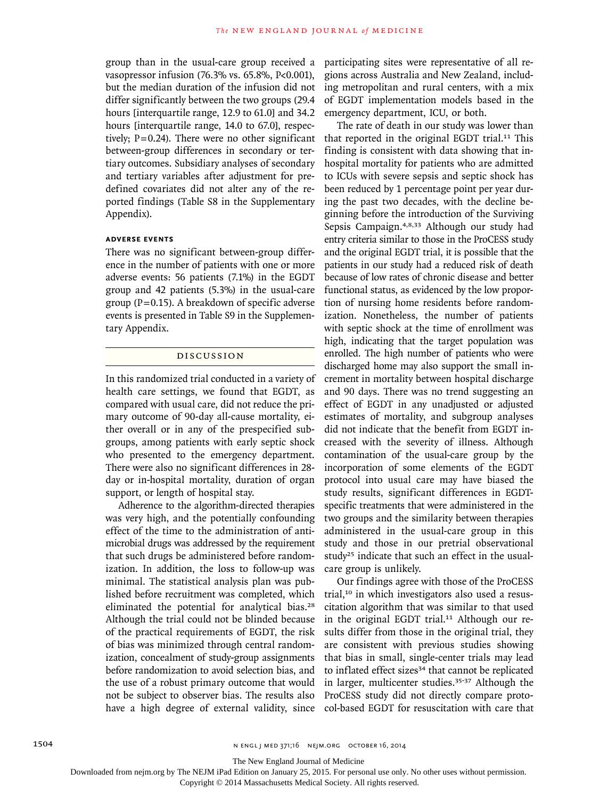group than in the usual-care group received a vasopressor infusion (76.3% vs. 65.8%, P<0.001), but the median duration of the infusion did not differ significantly between the two groups (29.4 hours [interquartile range, 12.9 to 61.0] and 34.2 hours [interquartile range, 14.0 to 67.0], respectively;  $P=0.24$ ). There were no other significant between-group differences in secondary or tertiary outcomes. Subsidiary analyses of secondary and tertiary variables after adjustment for predefined covariates did not alter any of the reported findings (Table S8 in the Supplementary Appendix).

#### **Adverse Events**

There was no significant between-group difference in the number of patients with one or more adverse events: 56 patients (7.1%) in the EGDT group and 42 patients (5.3%) in the usual-care group ( $P=0.15$ ). A breakdown of specific adverse events is presented in Table S9 in the Supplementary Appendix.

#### Discussion

In this randomized trial conducted in a variety of health care settings, we found that EGDT, as compared with usual care, did not reduce the primary outcome of 90-day all-cause mortality, either overall or in any of the prespecified subgroups, among patients with early septic shock who presented to the emergency department. There were also no significant differences in 28 day or in-hospital mortality, duration of organ support, or length of hospital stay.

Adherence to the algorithm-directed therapies was very high, and the potentially confounding effect of the time to the administration of antimicrobial drugs was addressed by the requirement that such drugs be administered before randomization. In addition, the loss to follow-up was minimal. The statistical analysis plan was published before recruitment was completed, which eliminated the potential for analytical bias.<sup>28</sup> Although the trial could not be blinded because of the practical requirements of EGDT, the risk of bias was minimized through central randomization, concealment of study-group assignments before randomization to avoid selection bias, and the use of a robust primary outcome that would not be subject to observer bias. The results also have a high degree of external validity, since participating sites were representative of all regions across Australia and New Zealand, including metropolitan and rural centers, with a mix of EGDT implementation models based in the emergency department, ICU, or both.

The rate of death in our study was lower than that reported in the original EGDT trial.11 This finding is consistent with data showing that inhospital mortality for patients who are admitted to ICUs with severe sepsis and septic shock has been reduced by 1 percentage point per year during the past two decades, with the decline beginning before the introduction of the Surviving Sepsis Campaign.4,8,33 Although our study had entry criteria similar to those in the ProCESS study and the original EGDT trial, it is possible that the patients in our study had a reduced risk of death because of low rates of chronic disease and better functional status, as evidenced by the low proportion of nursing home residents before randomization. Nonetheless, the number of patients with septic shock at the time of enrollment was high, indicating that the target population was enrolled. The high number of patients who were discharged home may also support the small increment in mortality between hospital discharge and 90 days. There was no trend suggesting an effect of EGDT in any unadjusted or adjusted estimates of mortality, and subgroup analyses did not indicate that the benefit from EGDT increased with the severity of illness. Although contamination of the usual-care group by the incorporation of some elements of the EGDT protocol into usual care may have biased the study results, significant differences in EGDTspecific treatments that were administered in the two groups and the similarity between therapies administered in the usual-care group in this study and those in our pretrial observational study<sup>25</sup> indicate that such an effect in the usualcare group is unlikely.

Our findings agree with those of the ProCESS trial,10 in which investigators also used a resuscitation algorithm that was similar to that used in the original EGDT trial.<sup>11</sup> Although our results differ from those in the original trial, they are consistent with previous studies showing that bias in small, single-center trials may lead to inflated effect sizes<sup>34</sup> that cannot be replicated in larger, multicenter studies.<sup>35-37</sup> Although the ProCESS study did not directly compare protocol-based EGDT for resuscitation with care that

The New England Journal of Medicine

Downloaded from nejm.org by The NEJM iPad Edition on January 25, 2015. For personal use only. No other uses without permission.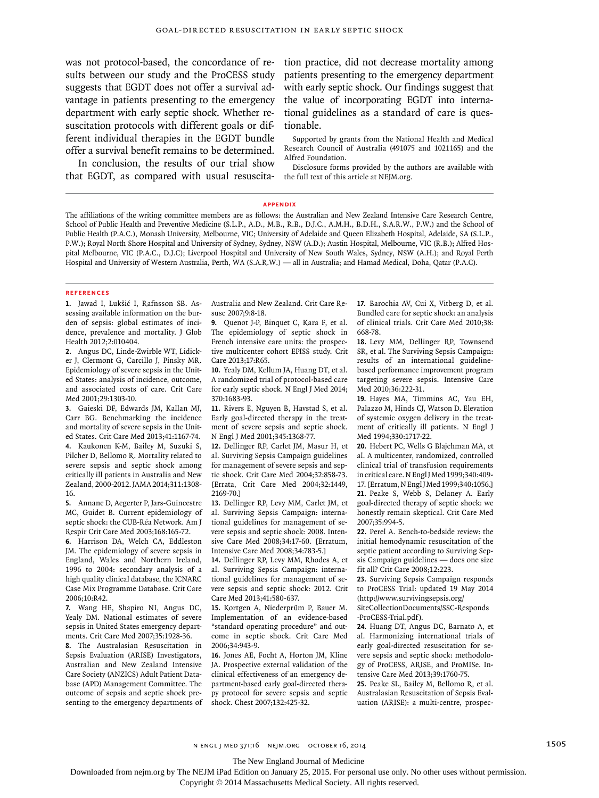was not protocol-based, the concordance of results between our study and the ProCESS study suggests that EGDT does not offer a survival advantage in patients presenting to the emergency department with early septic shock. Whether resuscitation protocols with different goals or different individual therapies in the EGDT bundle offer a survival benefit remains to be determined.

In conclusion, the results of our trial show that EGDT, as compared with usual resuscitation practice, did not decrease mortality among patients presenting to the emergency department with early septic shock. Our findings suggest that the value of incorporating EGDT into international guidelines as a standard of care is questionable.

Supported by grants from the National Health and Medical Research Council of Australia (491075 and 1021165) and the Alfred Foundation.

Disclosure forms provided by the authors are available with the full text of this article at NEJM.org.

#### **Appendix**

The affiliations of the writing committee members are as follows: the Australian and New Zealand Intensive Care Research Centre, School of Public Health and Preventive Medicine (S.L.P., A.D., M.B., R.B., D.J.C., A.M.H., B.D.H., S.A.R.W., P.W.) and the School of Public Health (P.A.C.), Monash University, Melbourne, VIC; University of Adelaide and Queen Elizabeth Hospital, Adelaide, SA (S.L.P., P.W.); Royal North Shore Hospital and University of Sydney, Sydney, NSW (A.D.); Austin Hospital, Melbourne, VIC (R.B.); Alfred Hospital Melbourne, VIC (P.A.C., D.J.C); Liverpool Hospital and University of New South Wales, Sydney, NSW (A.H.); and Royal Perth Hospital and University of Western Australia, Perth, WA (S.A.R.W.) — all in Australia; and Hamad Medical, Doha, Qatar (P.A.C).

#### **References**

**1.** Jawad I, Lukšić I, Rafnsson SB. Assessing available information on the burden of sepsis: global estimates of incidence, prevalence and mortality. J Glob Health 2012;2:010404.

**2.** Angus DC, Linde-Zwirble WT, Lidicker J, Clermont G, Carcillo J, Pinsky MR. Epidemiology of severe sepsis in the United States: analysis of incidence, outcome, and associated costs of care. Crit Care Med 2001;29:1303-10.

**3.** Gaieski DF, Edwards JM, Kallan MJ, Carr BG. Benchmarking the incidence and mortality of severe sepsis in the United States. Crit Care Med 2013;41:1167-74. **4.** Kaukonen K-M, Bailey M, Suzuki S, Pilcher D, Bellomo R. Mortality related to severe sepsis and septic shock among critically ill patients in Australia and New Zealand, 2000-2012. JAMA 2014;311:1308- 16.

**5.** Annane D, Aegerter P, Jars-Guincestre MC, Guidet B. Current epidemiology of septic shock: the CUB-Réa Network. Am J Respir Crit Care Med 2003;168:165-72.

**6.** Harrison DA, Welch CA, Eddleston JM. The epidemiology of severe sepsis in England, Wales and Northern Ireland, 1996 to 2004: secondary analysis of a high quality clinical database, the ICNARC Case Mix Programme Database. Crit Care 2006;10:R42.

**7.** Wang HE, Shapiro NI, Angus DC, Yealy DM. National estimates of severe sepsis in United States emergency departments. Crit Care Med 2007;35:1928-36.

**8.** The Australasian Resuscitation in Sepsis Evaluation (ARISE) Investigators, Australian and New Zealand Intensive Care Society (ANZICS) Adult Patient Database (APD) Management Committee. The outcome of sepsis and septic shock presenting to the emergency departments of Australia and New Zealand. Crit Care Resusc 2007;9:8-18.

**9.** Quenot J-P, Binquet C, Kara F, et al. The epidemiology of septic shock in French intensive care units: the prospective multicenter cohort EPISS study. Crit Care 2013;17:R65.

**10.** Yealy DM, Kellum JA, Huang DT, et al. A randomized trial of protocol-based care for early septic shock. N Engl J Med 2014; 370:1683-93.

**11.** Rivers E, Nguyen B, Havstad S, et al. Early goal-directed therapy in the treatment of severe sepsis and septic shock. N Engl J Med 2001;345:1368-77.

**12.** Dellinger RP, Carlet JM, Masur H, et al. Surviving Sepsis Campaign guidelines for management of severe sepsis and septic shock. Crit Care Med 2004;32:858-73. [Errata, Crit Care Med 2004;32:1449, 2169-70.]

**13.** Dellinger RP, Levy MM, Carlet JM, et al. Surviving Sepsis Campaign: international guidelines for management of severe sepsis and septic shock: 2008. Intensive Care Med 2008;34:17-60. [Erratum, Intensive Care Med 2008;34:783-5.]

**14.** Dellinger RP, Levy MM, Rhodes A, et al. Surviving Sepsis Campaign: international guidelines for management of severe sepsis and septic shock: 2012. Crit Care Med 2013;41:580-637.

**15.** Kortgen A, Niederprüm P, Bauer M. Implementation of an evidence-based "standard operating procedure" and outcome in septic shock. Crit Care Med 2006;34:943-9.

**16.** Jones AE, Focht A, Horton JM, Kline JA. Prospective external validation of the clinical effectiveness of an emergency department-based early goal-directed therapy protocol for severe sepsis and septic shock. Chest 2007;132:425-32.

**17.** Barochia AV, Cui X, Vitberg D, et al. Bundled care for septic shock: an analysis of clinical trials. Crit Care Med 2010;38: 668-78.

**18.** Levy MM, Dellinger RP, Townsend SR, et al. The Surviving Sepsis Campaign: results of an international guidelinebased performance improvement program targeting severe sepsis. Intensive Care Med 2010;36:222-31.

**19.** Hayes MA, Timmins AC, Yau EH, Palazzo M, Hinds CJ, Watson D. Elevation of systemic oxygen delivery in the treatment of critically ill patients. N Engl J Med 1994;330:1717-22.

**20.** Hebert PC, Wells G Blajchman MA, et al. A multicenter, randomized, controlled clinical trial of transfusion requirements in critical care. N Engl J Med 1999;340:409-17. [Erratum, N Engl J Med 1999;340:1056.] **21.** Peake S, Webb S, Delaney A. Early goal-directed therapy of septic shock: we honestly remain skeptical. Crit Care Med 2007;35:994-5.

**22.** Perel A. Bench-to-bedside review: the initial hemodynamic resuscitation of the septic patient according to Surviving Sepsis Campaign guidelines — does one size fit all? Crit Care 2008;12:223.

**23.** Surviving Sepsis Campaign responds to ProCESS Trial: updated 19 May 2014 (http://www.survivingsepsis.org/ SiteCollectionDocuments/SSC-Responds

-ProCESS-Trial.pdf). **24.** Huang DT, Angus DC, Barnato A, et

al. Harmonizing international trials of early goal-directed resuscitation for severe sepsis and septic shock: methodology of ProCESS, ARISE, and ProMISe. Intensive Care Med 2013;39:1760-75.

**25.** Peake SL, Bailey M, Bellomo R, et al. Australasian Resuscitation of Sepsis Evaluation (ARISE): a multi-centre, prospec-

The New England Journal of Medicine

Downloaded from nejm.org by The NEJM iPad Edition on January 25, 2015. For personal use only. No other uses without permission.